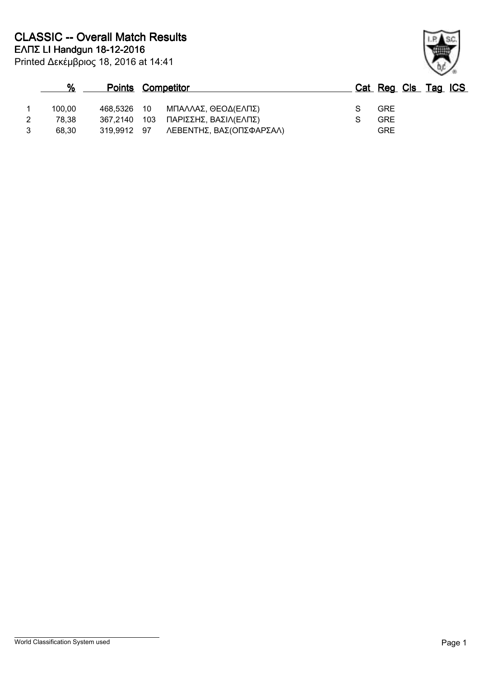|   | $\%$   | <b>Points Competitor</b> |       |                          |  | Cat Reg Cls Tag ICS |  |
|---|--------|--------------------------|-------|--------------------------|--|---------------------|--|
|   | 100.00 | 468.5326 10              |       | ΜΠΑΛΛΑΣ, ΘΕΟΔ(ΕΛΠΣ)      |  | <b>GRE</b>          |  |
|   | 78.38  | 367.2140                 | - 103 | ΠΑΡΙΣΣΗΣ, ΒΑΣΙΛ(ΕΛΠΣ)    |  | <b>GRE</b>          |  |
| 3 | 68.30  | 319.9912                 | 97    | ΛΕΒΕΝΤΗΣ, ΒΑΣ(ΟΠΣΦΑΡΣΑΛ) |  | GRE                 |  |

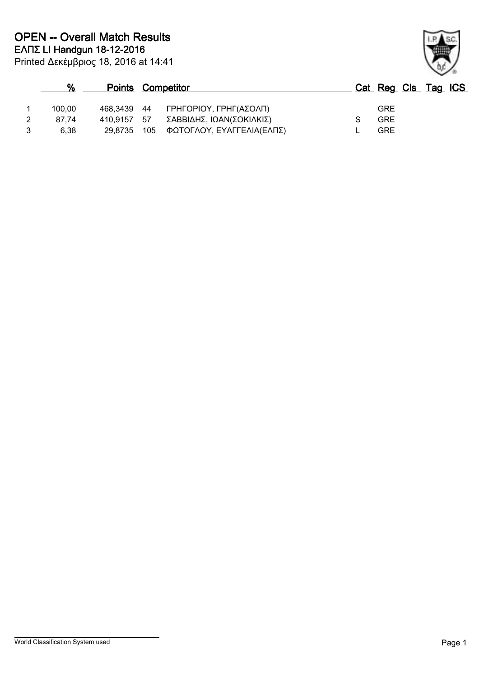| $\%$   | <b>Points Competitor</b> |                           |            | Cat Reg Cls Tag ICS |
|--------|--------------------------|---------------------------|------------|---------------------|
| 100.00 | 468,3439 44              | ΓΡΗΓΟΡΙΟΥ, ΓΡΗΓ(ΑΣΟΛΠ)    | <b>GRE</b> |                     |
| 87.74  | 410.9157 57              | ΣΑΒΒΙΔΗΣ, ΙΩΑΝ(ΣΟΚΙΛΚΙΣ)  | <b>GRE</b> |                     |
| 6.38   | 29,8735 105              | ΦΩΤΟΓΛΟΥ, ΕΥΑΓΓΕΛΙΑ(ΕΛΠΣ) | GRE        |                     |

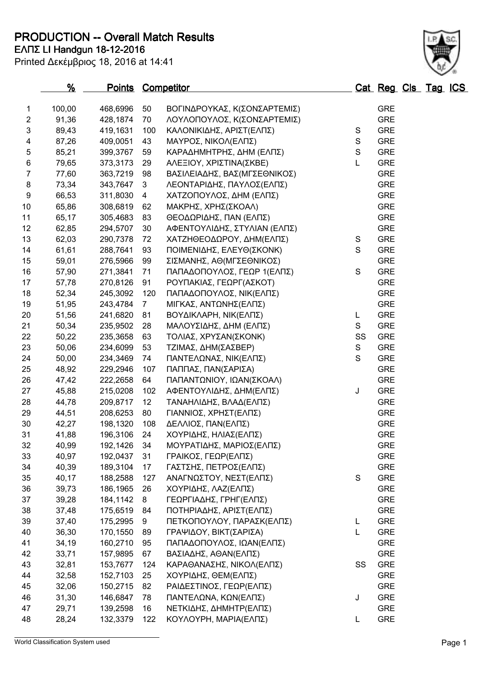**ΕΛΠΣ LI Handgun 18-12-2016 PRODUCTION -- Overall Match Results**

| Printed Δεκέμβριος 18, 2016 at 14:41 |  |  |  |
|--------------------------------------|--|--|--|
|--------------------------------------|--|--|--|

| 1                | 100,00 | 468,6996             | 50              | ΒΟΓΙΝΔΡΟΥΚΑΣ, Κ(ΣΟΝΣΑΡΤΕΜΙΣ) |               | <b>GRE</b> |
|------------------|--------|----------------------|-----------------|------------------------------|---------------|------------|
| $\overline{2}$   | 91,36  | 428,1874             | 70              | ΛΟΥΛΟΠΟΥΛΟΣ, Κ(ΣΟΝΣΑΡΤΕΜΙΣ)  |               | <b>GRE</b> |
| 3                | 89,43  | 419,1631             | 100             | ΚΑΛΟΝΙΚΙΔΗΣ, ΑΡΙΣΤ(ΕΛΠΣ)     | ${\mathsf S}$ | <b>GRE</b> |
| 4                | 87,26  | 409,0051             | 43              | ΜΑΥΡΟΣ, ΝΙΚΟΛ(ΕΛΠΣ)          | $\mathbf S$   | <b>GRE</b> |
| 5                | 85,21  | 399,3767             | 59              | ΚΑΡΑΔΗΜΗΤΡΗΣ, ΔΗΜ (ΕΛΠΣ)     | $\mathsf S$   | <b>GRE</b> |
| 6                | 79,65  | 373,3173             | 29              | ΑΛΕΞΙΟΥ, ΧΡΙΣΤΙΝΑ(ΣΚΒΕ)      | L             | <b>GRE</b> |
| $\overline{7}$   | 77,60  | 363,7219             | 98              | ΒΑΣΙΛΕΙΑΔΗΣ, ΒΑΣ(ΜΓΣΕΘΝΙΚΟΣ) |               | <b>GRE</b> |
| 8                | 73,34  | 343,7647             | 3               | ΛΕΟΝΤΑΡΙΔΗΣ, ΠΑΥΛΟΣ(ΕΛΠΣ)    |               | <b>GRE</b> |
| $\boldsymbol{9}$ | 66,53  | 311,8030             | 4               | ΧΑΤΖΟΠΟΥΛΟΣ, ΔΗΜ (ΕΛΠΣ)      |               | <b>GRE</b> |
| 10               | 65,86  | 308,6819             | 62              | ΜΑΚΡΗΣ, ΧΡΗΣ(ΣΚΟΑΛ)          |               | <b>GRE</b> |
| 11               | 65,17  | 305,4683             | 83              | ΘΕΟΔΩΡΙΔΗΣ, ΠΑΝ (ΕΛΠΣ)       |               | <b>GRE</b> |
| 12               | 62,85  | 294,5707             | 30              | ΑΦΕΝΤΟΥΛΙΔΗΣ, ΣΤΥΛΙΑΝ (ΕΛΠΣ) |               | <b>GRE</b> |
| 13               | 62,03  | 290,7378             | 72              | ΧΑΤΖΗΘΕΟΔΩΡΟΥ, ΔΗΜ(ΕΛΠΣ)     | ${\mathsf S}$ | <b>GRE</b> |
| 14               | 61,61  | 288,7641             | 93              | ΠΟΙΜΕΝΙΔΗΣ, ΕΛΕΥΘ(ΣΚΟΝΚ)     | $\mathbf S$   | <b>GRE</b> |
| 15               | 59,01  | 276,5966             | 99              | ΣΙΣΜΑΝΗΣ, ΑΘ(ΜΓΣΕΘΝΙΚΟΣ)     |               | <b>GRE</b> |
| 16               | 57,90  | 271,3841             | 71              | ΠΑΠΑΔΟΠΟΥΛΟΣ, ΓΕΩΡ 1(ΕΛΠΣ)   | ${\mathsf S}$ | <b>GRE</b> |
| 17               | 57,78  | 270,8126             | 91              | ΡΟΥΠΑΚΙΑΣ, ΓΕΩΡΓ(ΑΣΚΟΤ)      |               | <b>GRE</b> |
| 18               | 52,34  | 245,3092             | 120             | ΠΑΠΑΔΟΠΟΥΛΟΣ, ΝΙΚ(ΕΛΠΣ)      |               | <b>GRE</b> |
| 19               | 51,95  | 243,4784             | $7\overline{ }$ | ΜΙΓΚΑΣ, ΑΝΤΩΝΗΣ(ΕΛΠΣ)        |               | <b>GRE</b> |
| 20               | 51,56  | 241,6820             | 81              | ΒΟΥΔΙΚΛΑΡΗ, ΝΙΚ(ΕΛΠΣ)        | L             | <b>GRE</b> |
| 21               | 50,34  | 235,9502             | 28              | ΜΑΛΟΥΣΙΔΗΣ, ΔΗΜ (ΕΛΠΣ)       | S             | <b>GRE</b> |
| 22               | 50,22  | 235,3658             | 63              | ΤΟΛΙΑΣ, ΧΡΥΣΑΝ(ΣΚΟΝΚ)        | SS            | <b>GRE</b> |
| 23               | 50,06  | 234,6099             | 53              | ΤΖΙΜΑΣ, ΔΗΜ(ΣΑΣΒΕΡ)          | ${\mathsf S}$ | <b>GRE</b> |
| 24               | 50,00  | 234,3469             | 74              | ΠΑΝΤΕΛΩΝΑΣ, ΝΙΚ(ΕΛΠΣ)        | $\mathsf S$   | <b>GRE</b> |
| 25               | 48,92  | 229,2946             | 107             | ΠΑΠΠΑΣ, ΠΑΝ(ΣΑΡΙΣΑ)          |               | <b>GRE</b> |
| 26               | 47,42  | 222,2658             | 64              | ΠΑΠΑΝΤΩΝΙΟΥ, ΙΩΑΝ(ΣΚΟΑΛ)     |               | <b>GRE</b> |
| 27               | 45,88  |                      |                 |                              | J             | <b>GRE</b> |
|                  |        | 215,0208<br>209,8717 | 102             | ΑΦΕΝΤΟΥΛΙΔΗΣ, ΔΗΜ(ΕΛΠΣ)      |               | <b>GRE</b> |
| 28               | 44,78  |                      | 12              | ΤΑΝΑΗΛΙΔΗΣ, ΒΛΑΔ(ΕΛΠΣ)       |               |            |
| 29               | 44,51  | 208,6253             | 80              | ΓΙΑΝΝΙΟΣ, ΧΡΗΣΤ(ΕΛΠΣ)        |               | <b>GRE</b> |
| 30               | 42,27  | 198,1320             | 108             | ΔΕΛΛΙΟΣ, ΠΑΝ(ΕΛΠΣ)           |               | <b>GRE</b> |
| 31               | 41,88  | 196,3106             | 24              | ΧΟΥΡΙΔΗΣ, ΗΛΙΑΣ(ΕΛΠΣ)        |               | <b>GRE</b> |
| 32               | 40,99  | 192,1426             | 34              | ΜΟΥΡΑΤΙΔΗΣ, ΜΑΡΙΟΣ(ΕΛΠΣ)     |               | <b>GRE</b> |
| 33               | 40,97  | 192,0437             | 31              | ΓΡΑΙΚΟΣ, ΓΕΩΡ(ΕΛΠΣ)          |               | <b>GRE</b> |
| 34               | 40,39  | 189,3104             | 17              | ΓΑΣΤΣΗΣ, ΠΕΤΡΟΣ(ΕΛΠΣ)        |               | <b>GRE</b> |
| 35               | 40,17  | 188,2588             | 127             | ΑΝΑΓΝΩΣΤΟΥ, ΝΕΣΤ(ΕΛΠΣ)       | S             | <b>GRE</b> |
| 36               | 39,73  | 186,1965             | 26              | ΧΟΥΡΙΔΗΣ, ΛΑΖ(ΕΛΠΣ)          |               | <b>GRE</b> |
| 37               | 39,28  | 184,1142             | 8               | ΓΕΩΡΓΙΑΔΗΣ, ΓΡΗΓ(ΕΛΠΣ)       |               | <b>GRE</b> |
| 38               | 37,48  | 175,6519             | 84              | ΠΟΤΗΡΙΑΔΗΣ, ΑΡΙΣΤ(ΕΛΠΣ)      |               | <b>GRE</b> |
| 39               | 37,40  | 175,2995             | 9               | ΠΕΤΚΟΠΟΥΛΟΥ, ΠΑΡΑΣΚ(ΕΛΠΣ)    | L             | <b>GRE</b> |
| 40               | 36,30  | 170,1550             | 89              | ΓΡΑΨΙΔΟΥ, ΒΙΚΤ(ΣΑΡΙΣΑ)       | L             | <b>GRE</b> |
| 41               | 34,19  | 160,2710             | 95              | ΠΑΠΑΔΟΠΟΥΛΟΣ, ΙΩΑΝ(ΕΛΠΣ)     |               | <b>GRE</b> |
| 42               | 33,71  | 157,9895             | 67              | ΒΑΣΙΑΔΗΣ, ΑΘΑΝ(ΕΛΠΣ)         |               | <b>GRE</b> |
| 43               | 32,81  | 153,7677             | 124             | ΚΑΡΑΘΑΝΑΣΗΣ, ΝΙΚΟΛ(ΕΛΠΣ)     | SS            | <b>GRE</b> |
| 44               | 32,58  | 152,7103             | 25              | ΧΟΥΡΙΔΗΣ, ΘΕΜ(ΕΛΠΣ)          |               | <b>GRE</b> |
| 45               | 32,06  | 150,2715             | 82              | ΡΑΙΔΕΣΤΙΝΟΣ, ΓΕΩΡ(ΕΛΠΣ)      |               | <b>GRE</b> |
| 46               | 31,30  | 146,6847             | 78              | ΠΑΝΤΕΛΩΝΑ, ΚΩΝ(ΕΛΠΣ)         | J             | <b>GRE</b> |
| 47               | 29,71  | 139,2598             | 16              | ΝΕΤΚΙΔΗΣ, ΔΗΜΗΤΡ(ΕΛΠΣ)       |               | <b>GRE</b> |
| 48               | 28,24  | 132,3379             | 122             | ΚΟΥΛΟΥΡΗ, ΜΑΡΙΑ(ΕΛΠΣ)        | L             | <b>GRE</b> |

**% Points Competitor Cat Reg Cls Tag ICS**

World Classification System used **Page 1**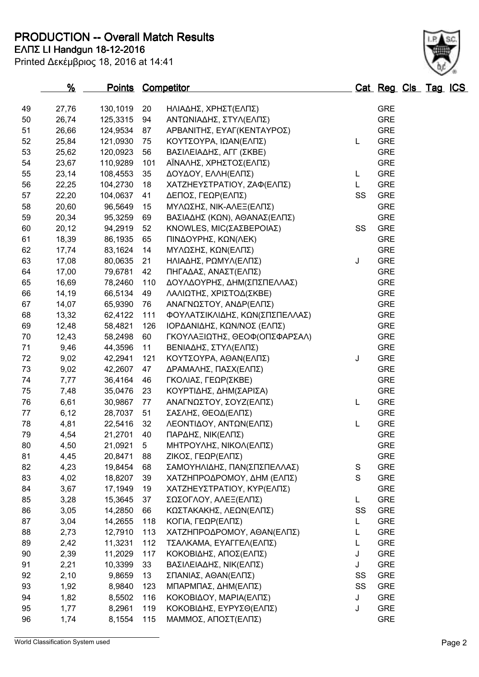**PRODUCTION -- Overall Match Results**

| Printed Δεκέμβριος 18, 2016 at 14:41 |  |
|--------------------------------------|--|
|--------------------------------------|--|

## **ΕΛΠΣ LI Handgun 18-12-2016**

|    | %     | <b>Points Competitor</b> |     |                                |             | Cat Reg Cls Tag ICS |  |  |
|----|-------|--------------------------|-----|--------------------------------|-------------|---------------------|--|--|
| 49 | 27,76 | 130,1019                 | 20  | ΗΛΙΑΔΗΣ, ΧΡΗΣΤ(ΕΛΠΣ)           |             | <b>GRE</b>          |  |  |
| 50 | 26,74 | 125,3315                 | 94  | ΑΝΤΩΝΙΑΔΗΣ, ΣΤΥΛ(ΕΛΠΣ)         |             | <b>GRE</b>          |  |  |
| 51 | 26,66 | 124,9534                 | 87  | ΑΡΒΑΝΙΤΗΣ, ΕΥΑΓ(ΚΕΝΤΑΥΡΟΣ)     |             | <b>GRE</b>          |  |  |
| 52 | 25,84 | 121,0930                 | 75  | ΚΟΥΤΣΟΥΡΑ, ΙΩΑΝ(ΕΛΠΣ)          | L           | <b>GRE</b>          |  |  |
| 53 | 25,62 | 120,0923                 | 56  | ΒΑΣΙΛΕΙΑΔΗΣ, ΑΓΓ (ΣΚΒΕ)        |             | <b>GRE</b>          |  |  |
| 54 | 23,67 | 110,9289                 | 101 | ΑΪΝΑΛΗΣ, ΧΡΗΣΤΟΣ(ΕΛΠΣ)         |             | <b>GRE</b>          |  |  |
| 55 | 23,14 | 108,4553                 | 35  | ΔΟΥΔΟΥ, ΕΛΛΗ(ΕΛΠΣ)             | L           | <b>GRE</b>          |  |  |
| 56 | 22,25 | 104,2730                 | 18  | ΧΑΤΖΗΕΥΣΤΡΑΤΙΟΥ, ΖΑΦ(ΕΛΠΣ)     | L.          | <b>GRE</b>          |  |  |
| 57 | 22,20 | 104,0637                 | 41  | ΔΕΠΟΣ, ΓΕΩΡ(ΕΛΠΣ)              | SS          | <b>GRE</b>          |  |  |
| 58 | 20,60 | 96,5649                  | 15  | ΜΥΛΩΣΗΣ, ΝΙΚ-ΑΛΕΞ(ΕΛΠΣ)        |             | <b>GRE</b>          |  |  |
| 59 | 20,34 | 95,3259                  | 69  | ΒΑΣΙΑΔΗΣ (ΚΩΝ), ΑΘΑΝΑΣ(ΕΛΠΣ)   |             | <b>GRE</b>          |  |  |
| 60 | 20,12 | 94,2919                  | 52  | ΚΝΟWLES, ΜΙC(ΣΑΣΒΕΡΟΙΑΣ)       | SS          | <b>GRE</b>          |  |  |
| 61 | 18,39 | 86,1935                  | 65  | ΠΙΝΔΟΥΡΗΣ, ΚΩΝ(ΛΕΚ)            |             | <b>GRE</b>          |  |  |
| 62 | 17,74 | 83,1624                  | 14  | ΜΥΛΩΣΗΣ, ΚΩΝ(ΕΛΠΣ)             |             | <b>GRE</b>          |  |  |
| 63 | 17,08 | 80,0635                  | 21  | ΗΛΙΑΔΗΣ, ΡΩΜΥΛ(ΕΛΠΣ)           | J           | <b>GRE</b>          |  |  |
| 64 | 17,00 | 79,6781                  | 42  | ΠΗΓΑΔΑΣ, ΑΝΑΣΤ(ΕΛΠΣ)           |             | <b>GRE</b>          |  |  |
| 65 | 16,69 | 78,2460                  | 110 | ΔΟΥΛΔΟΥΡΗΣ, ΔΗΜ(ΣΠΣΠΕΛΛΑΣ)     |             | <b>GRE</b>          |  |  |
| 66 | 14,19 | 66,5134                  | 49  | ΛΑΛΙΩΤΗΣ, ΧΡΙΣΤΟΔ(ΣΚΒΕ)        |             | <b>GRE</b>          |  |  |
| 67 | 14,07 | 65,9390                  | 76  | ΑΝΑΓΝΩΣΤΟΥ, ΑΝΔΡ(ΕΛΠΣ)         |             | <b>GRE</b>          |  |  |
| 68 | 13,32 | 62,4122                  | 111 | ΦΟΥΛΑΤΣΙΚΛΙΔΗΣ, ΚΩΝ(ΣΠΣΠΕΛΛΑΣ) |             | <b>GRE</b>          |  |  |
| 69 | 12,48 | 58,4821                  | 126 | ΙΟΡΔΑΝΙΔΗΣ, ΚΩΝ/ΝΟΣ (ΕΛΠΣ)     |             | <b>GRE</b>          |  |  |
| 70 | 12,43 | 58,2498                  | 60  | ΓΚΟΥΛΑΞΙΩΤΗΣ, ΘΕΟΦ(ΟΠΣΦΑΡΣΑΛ)  |             | <b>GRE</b>          |  |  |
| 71 | 9,46  | 44,3596                  | 11  | ΒΕΝΙΑΔΗΣ, ΣΤΥΛ(ΕΛΠΣ)           |             | <b>GRE</b>          |  |  |
| 72 | 9,02  | 42,2941                  | 121 | ΚΟΥΤΣΟΥΡΑ, ΑΘΑΝ(ΕΛΠΣ)          | J           | <b>GRE</b>          |  |  |
| 73 | 9,02  | 42,2607                  | 47  | ΔΡΑΜΑΛΗΣ, ΠΑΣΧ(ΕΛΠΣ)           |             | <b>GRE</b>          |  |  |
| 74 | 7,77  | 36,4164                  | 46  | ΓΚΟΛΙΑΣ, ΓΕΩΡ(ΣΚΒΕ)            |             | <b>GRE</b>          |  |  |
| 75 | 7,48  | 35,0476                  | 23  | ΚΟΥΡΤΙΔΗΣ, ΔΗΜ(ΣΑΡΙΣΑ)         |             | <b>GRE</b>          |  |  |
| 76 | 6,61  | 30,9867                  | 77  | ΑΝΑΓΝΩΣΤΟΥ, ΣΟΥΖ(ΕΛΠΣ)         | L           | <b>GRE</b>          |  |  |
| 77 | 6,12  | 28,7037                  | 51  | ΣΑΣΛΗΣ, ΘΕΟΔ(ΕΛΠΣ)             |             | <b>GRE</b>          |  |  |
| 78 | 4,81  | 22,5416                  | 32  | ΛΕΟΝΤΙΔΟΥ, ΑΝΤΩΝ(ΕΛΠΣ)         | L           | <b>GRE</b>          |  |  |
| 79 | 4,54  | 21,2701                  | 40  | ΠΑΡΔΗΣ, ΝΙΚ(ΕΛΠΣ)              |             | <b>GRE</b>          |  |  |
| 80 | 4,50  | 21,0921                  | 5   | ΜΗΤΡΟΥΛΗΣ, ΝΙΚΟΛ(ΕΛΠΣ)         |             | <b>GRE</b>          |  |  |
| 81 | 4,45  | 20,8471                  | 88  | ΖΙΚΟΣ, ΓΕΩΡ(ΕΛΠΣ)              |             | <b>GRE</b>          |  |  |
| 82 | 4,23  | 19,8454                  | 68  | ΣΑΜΟΥΗΛΙΔΗΣ, ΠΑΝ(ΣΠΣΠΕΛΛΑΣ)    | $\mathbf S$ | <b>GRE</b>          |  |  |
| 83 | 4,02  | 18,8207                  | 39  | ΧΑΤΖΗΠΡΟΔΡΟΜΟΥ, ΔΗΜ (ΕΛΠΣ)     | S           | <b>GRE</b>          |  |  |
| 84 | 3,67  | 17,1949                  | 19  | ΧΑΤΖΗΕΥΣΤΡΑΤΙΟΥ, ΚΥΡ(ΕΛΠΣ)     |             | <b>GRE</b>          |  |  |
| 85 | 3,28  | 15,3645                  | 37  | ΣΩΣΟΓΛΟΥ, ΑΛΕΞ(ΕΛΠΣ)           | L           | <b>GRE</b>          |  |  |
| 86 | 3,05  | 14,2850                  | 66  | ΚΩΣΤΑΚΑΚΗΣ, ΛΕΩΝ(ΕΛΠΣ)         | SS          | <b>GRE</b>          |  |  |
| 87 | 3,04  | 14,2655                  | 118 | ΚΟΓΙΑ, ΓΕΩΡ(ΕΛΠΣ)              | L.          | <b>GRE</b>          |  |  |
| 88 | 2,73  | 12,7910                  | 113 | ΧΑΤΖΗΠΡΟΔΡΟΜΟΥ, ΑΘΑΝ(ΕΛΠΣ)     | L           | <b>GRE</b>          |  |  |
| 89 | 2,42  | 11,3231                  | 112 | ΤΣΑΛΚΑΜΑ, ΕΥΑΓΓΕΛ(ΕΛΠΣ)        | L           | <b>GRE</b>          |  |  |
| 90 | 2,39  | 11,2029                  | 117 | ΚΟΚΟΒΙΔΗΣ, ΑΠΟΣ(ΕΛΠΣ)          | J           | <b>GRE</b>          |  |  |
| 91 | 2,21  | 10,3399                  | 33  | ΒΑΣΙΛΕΙΑΔΗΣ, ΝΙΚ(ΕΛΠΣ)         | J           | <b>GRE</b>          |  |  |
| 92 | 2,10  | 9,8659                   | 13  | ΣΠΑΝΙΑΣ, ΑΘΑΝ(ΕΛΠΣ)            | SS          | <b>GRE</b>          |  |  |
| 93 | 1,92  | 8,9840                   | 123 | ΜΠΑΡΜΠΑΣ, ΔΗΜ(ΕΛΠΣ)            | SS          | <b>GRE</b>          |  |  |
| 94 | 1,82  | 8,5502                   | 116 | ΚΟΚΟΒΙΔΟΥ, ΜΑΡΙΑ(ΕΛΠΣ)         | J           | <b>GRE</b>          |  |  |
| 95 | 1,77  | 8,2961                   | 119 | ΚΟΚΟΒΙΔΗΣ, ΕΥΡΥΣΘ(ΕΛΠΣ)        | J           | <b>GRE</b>          |  |  |
| 96 | 1,74  | 8,1554                   | 115 | ΜΑΜΜΟΣ, ΑΠΟΣΤ(ΕΛΠΣ)            |             | <b>GRE</b>          |  |  |

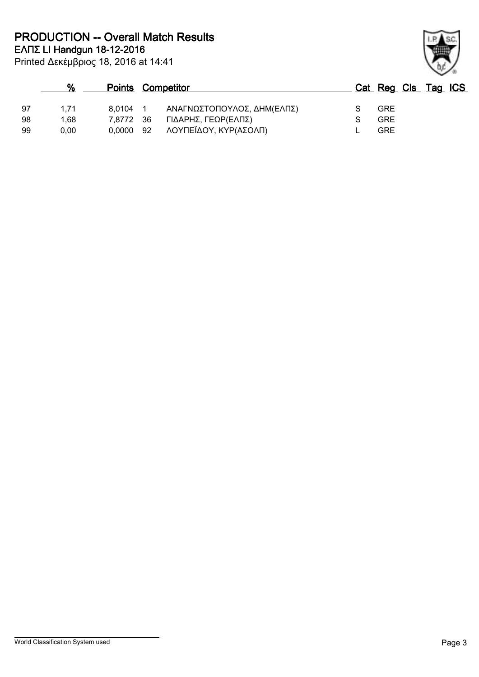Printed Δεκέμβριος 18, 2016 at 14:41 **ΕΛΠΣ LI Handgun 18-12-2016 PRODUCTION -- Overall Match Results**

|     | %    | <b>Points Competitor</b> |    |                            |  | Cat Reg Cls Tag ICS |  |
|-----|------|--------------------------|----|----------------------------|--|---------------------|--|
| -97 | 1.71 | 8.0104 1                 |    | ΑΝΑΓΝΩΣΤΟΠΟΥΛΟΣ, ΔΗΜ(ΕΛΠΣ) |  | <b>GRE</b>          |  |
| -98 | 1.68 | 7.8772 36                |    | ΓΙΔΑΡΗΣ, ΓΕΩΡ(ΕΛΠΣ)        |  | <b>GRE</b>          |  |
| -99 | 0.00 | 0.0000                   | 92 | ΛΟΥΠΕΪΔΟΥ, ΚΥΡ(ΑΣΟΛΠ)      |  | <b>GRE</b>          |  |

World Classification System used **Page 3** 

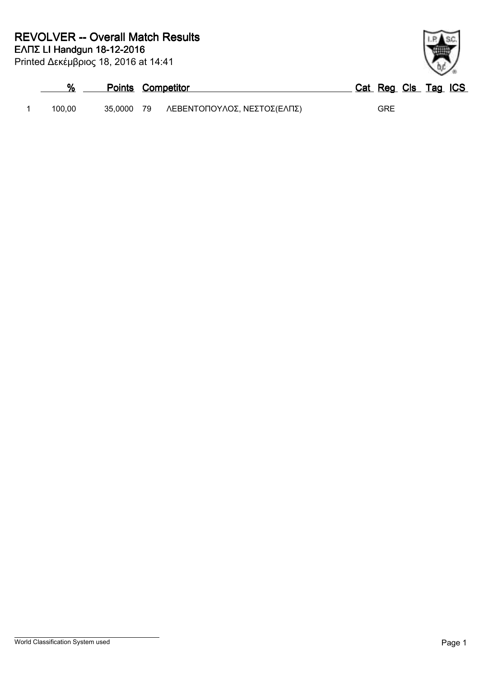|        | <b>Points Competitor</b> |                             | Cat Reg Cls Tag ICS |
|--------|--------------------------|-----------------------------|---------------------|
| 100.00 | 35.0000 79               | ΛΕΒΕΝΤΟΠΟΥΛΟΣ, ΝΕΣΤΟΣ(ΕΛΠΣ) | <b>GRE</b>          |